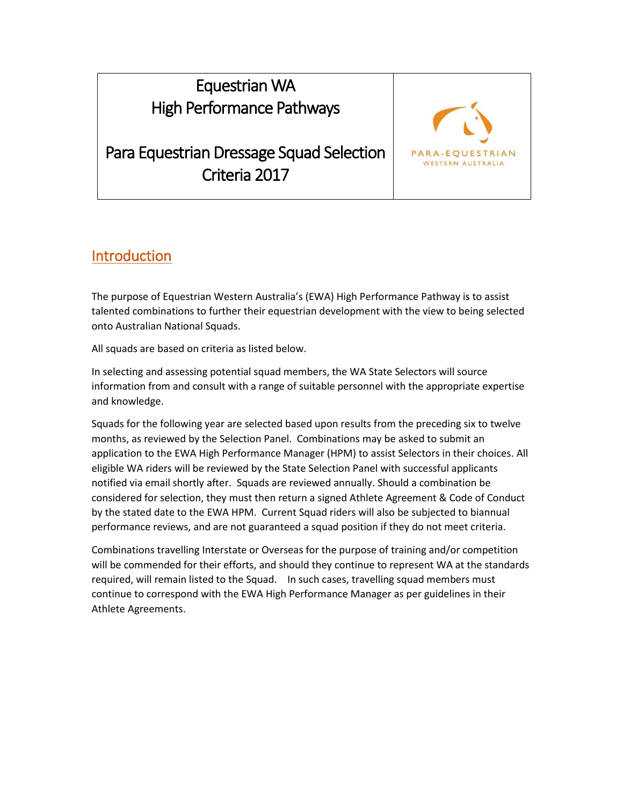# Equestrian WA High Performance Pathways

Para Equestrian Dressage Squad Selection Criteria 2017



#### Introduction

The purpose of Equestrian Western Australia's (EWA) High Performance Pathway is to assist talented combinations to further their equestrian development with the view to being selected onto Australian National Squads.

All squads are based on criteria as listed below.

In selecting and assessing potential squad members, the WA State Selectors will source information from and consult with a range of suitable personnel with the appropriate expertise and knowledge.

Squads for the following year are selected based upon results from the preceding six to twelve months, as reviewed by the Selection Panel. Combinations may be asked to submit an application to the EWA High Performance Manager (HPM) to assist Selectors in their choices. All eligible WA riders will be reviewed by the State Selection Panel with successful applicants notified via email shortly after. Squads are reviewed annually. Should a combination be considered for selection, they must then return a signed Athlete Agreement & Code of Conduct by the stated date to the EWA HPM. Current Squad riders will also be subjected to biannual performance reviews, and are not guaranteed a squad position if they do not meet criteria.

Combinations travelling Interstate or Overseas for the purpose of training and/or competition will be commended for their efforts, and should they continue to represent WA at the standards required, will remain listed to the Squad. In such cases, travelling squad members must continue to correspond with the EWA High Performance Manager as per guidelines in their Athlete Agreements.